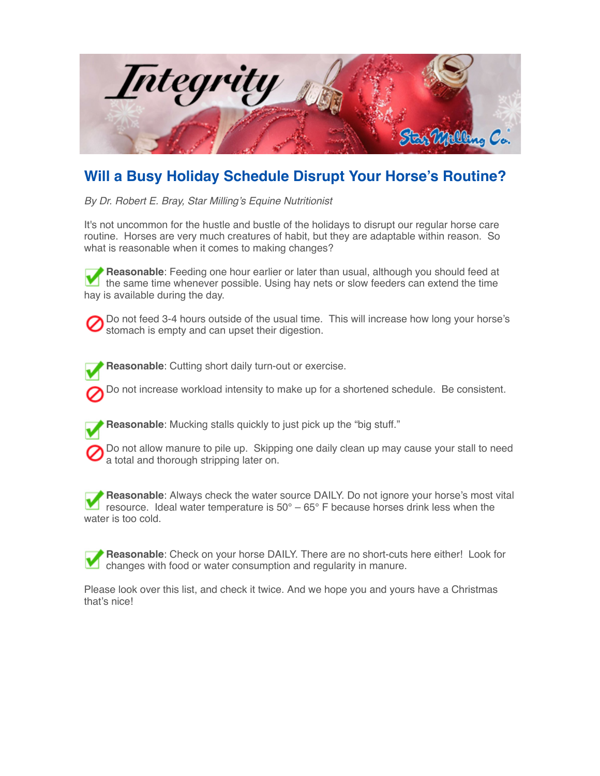

## **Will a Busy Holiday Schedule Disrupt Your Horse's Routine?**

*By Dr. Robert E. Bray, Star Milling's Equine Nutritionist*

It's not uncommon for the hustle and bustle of the holidays to disrupt our regular horse care routine. Horses are very much creatures of habit, but they are adaptable within reason. So what is reasonable when it comes to making changes?

**Reasonable**: Feeding one hour earlier or later than usual, although you should feed at the same time whenever possible. Using hay nets or slow feeders can extend the time hay is available during the day.

Do not feed 3-4 hours outside of the usual time. This will increase how long your horse's stomach is empty and can upset their digestion.

**Reasonable**: Cutting short daily turn-out or exercise.

Do not increase workload intensity to make up for a shortened schedule. Be consistent.



**Reasonable**: Mucking stalls quickly to just pick up the "big stuff."

Do not allow manure to pile up. Skipping one daily clean up may cause your stall to need a total and thorough stripping later on.

**Reasonable**: Always check the water source DAILY. Do not ignore your horse's most vital resource. Ideal water temperature is  $50^{\circ} - 65^{\circ}$  F because horses drink less when the water is too cold.

**Reasonable**: Check on your horse DAILY. There are no short-cuts here either! Look for changes with food or water consumption and regularity in manure.

Please look over this list, and check it twice. And we hope you and yours have a Christmas that's nice!